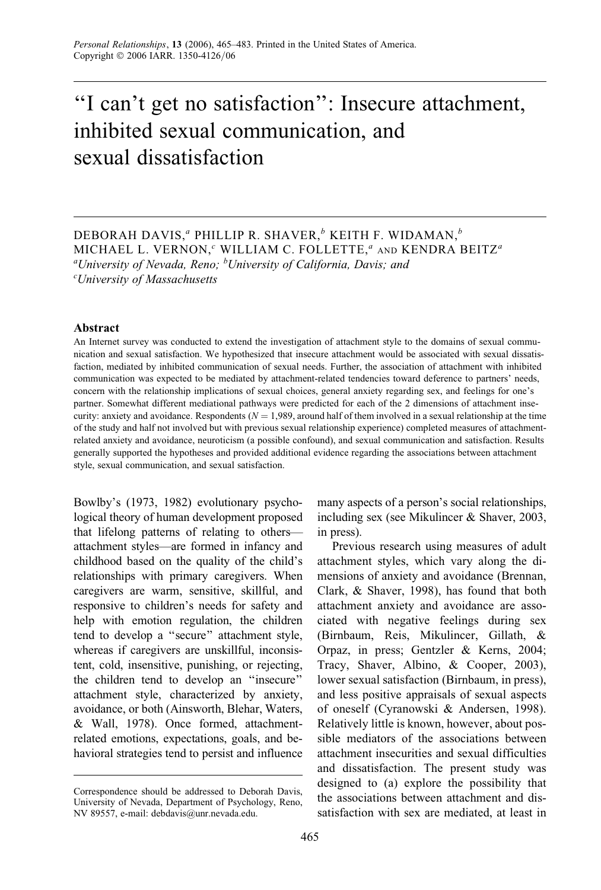# ''I can't get no satisfaction'': Insecure attachment, inhibited sexual communication, and sexual dissatisfaction

DEBORAH DAVIS,<sup> $a$ </sup> PHILLIP R. SHAVER, $b$ <sup>k</sup> KEITH F. WIDAMAN, $b$ MICHAEL L. VERNON, $c$  WILLIAM C. FOLLETTE, $a$  and KENDRA BEITZ $a$ <sup>a</sup>University of Nevada, Reno; <sup>b</sup>University of California, Davis; and c University of Massachusetts

#### Abstract

An Internet survey was conducted to extend the investigation of attachment style to the domains of sexual communication and sexual satisfaction. We hypothesized that insecure attachment would be associated with sexual dissatisfaction, mediated by inhibited communication of sexual needs. Further, the association of attachment with inhibited communication was expected to be mediated by attachment-related tendencies toward deference to partners' needs, concern with the relationship implications of sexual choices, general anxiety regarding sex, and feelings for one's partner. Somewhat different mediational pathways were predicted for each of the 2 dimensions of attachment insecurity: anxiety and avoidance. Respondents  $(N = 1,989$ , around half of them involved in a sexual relationship at the time of the study and half not involved but with previous sexual relationship experience) completed measures of attachmentrelated anxiety and avoidance, neuroticism (a possible confound), and sexual communication and satisfaction. Results generally supported the hypotheses and provided additional evidence regarding the associations between attachment style, sexual communication, and sexual satisfaction.

Bowlby's (1973, 1982) evolutionary psychological theory of human development proposed that lifelong patterns of relating to others attachment styles—are formed in infancy and childhood based on the quality of the child's relationships with primary caregivers. When caregivers are warm, sensitive, skillful, and responsive to children's needs for safety and help with emotion regulation, the children tend to develop a ''secure'' attachment style, whereas if caregivers are unskillful, inconsistent, cold, insensitive, punishing, or rejecting, the children tend to develop an ''insecure'' attachment style, characterized by anxiety, avoidance, or both (Ainsworth, Blehar, Waters, & Wall, 1978). Once formed, attachmentrelated emotions, expectations, goals, and behavioral strategies tend to persist and influence many aspects of a person's social relationships, including sex (see Mikulincer & Shaver, 2003, in press).

Previous research using measures of adult attachment styles, which vary along the dimensions of anxiety and avoidance (Brennan, Clark, & Shaver, 1998), has found that both attachment anxiety and avoidance are associated with negative feelings during sex (Birnbaum, Reis, Mikulincer, Gillath, & Orpaz, in press; Gentzler & Kerns, 2004; Tracy, Shaver, Albino, & Cooper, 2003), lower sexual satisfaction (Birnbaum, in press), and less positive appraisals of sexual aspects of oneself (Cyranowski & Andersen, 1998). Relatively little is known, however, about possible mediators of the associations between attachment insecurities and sexual difficulties and dissatisfaction. The present study was designed to (a) explore the possibility that the associations between attachment and dissatisfaction with sex are mediated, at least in

Correspondence should be addressed to Deborah Davis, University of Nevada, Department of Psychology, Reno, NV 89557, e-mail: debdavis@unr.nevada.edu.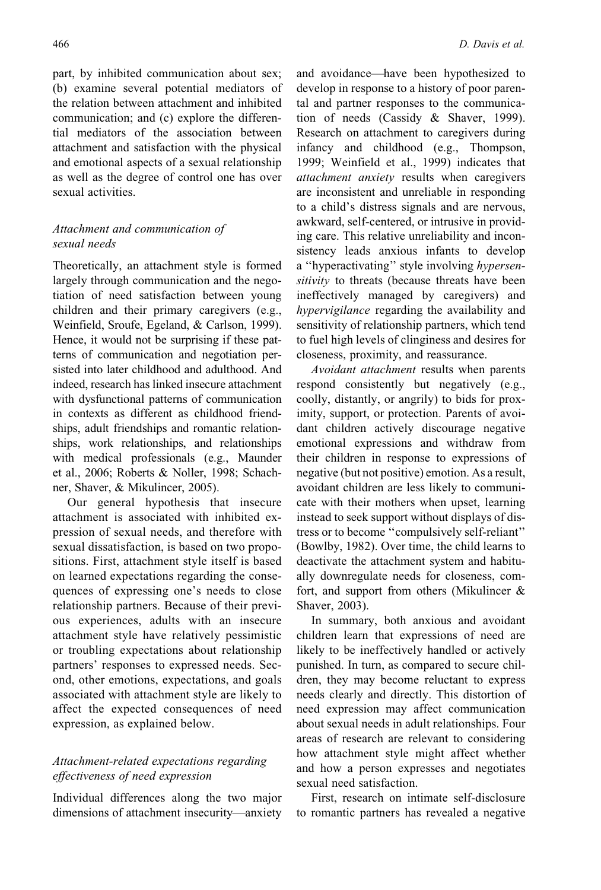part, by inhibited communication about sex; (b) examine several potential mediators of the relation between attachment and inhibited communication; and (c) explore the differential mediators of the association between attachment and satisfaction with the physical and emotional aspects of a sexual relationship as well as the degree of control one has over sexual activities.

## Attachment and communication of sexual needs

Theoretically, an attachment style is formed largely through communication and the negotiation of need satisfaction between young children and their primary caregivers (e.g., Weinfield, Sroufe, Egeland, & Carlson, 1999). Hence, it would not be surprising if these patterns of communication and negotiation persisted into later childhood and adulthood. And indeed, research has linked insecure attachment with dysfunctional patterns of communication in contexts as different as childhood friendships, adult friendships and romantic relationships, work relationships, and relationships with medical professionals (e.g., Maunder et al., 2006; Roberts & Noller, 1998; Schachner, Shaver, & Mikulincer, 2005).

Our general hypothesis that insecure attachment is associated with inhibited expression of sexual needs, and therefore with sexual dissatisfaction, is based on two propositions. First, attachment style itself is based on learned expectations regarding the consequences of expressing one's needs to close relationship partners. Because of their previous experiences, adults with an insecure attachment style have relatively pessimistic or troubling expectations about relationship partners' responses to expressed needs. Second, other emotions, expectations, and goals associated with attachment style are likely to affect the expected consequences of need expression, as explained below.

## Attachment-related expectations regarding effectiveness of need expression

Individual differences along the two major dimensions of attachment insecurity—anxiety and avoidance—have been hypothesized to develop in response to a history of poor parental and partner responses to the communication of needs (Cassidy & Shaver, 1999). Research on attachment to caregivers during infancy and childhood (e.g., Thompson, 1999; Weinfield et al., 1999) indicates that attachment anxiety results when caregivers are inconsistent and unreliable in responding to a child's distress signals and are nervous, awkward, self-centered, or intrusive in providing care. This relative unreliability and inconsistency leads anxious infants to develop a "hyperactivating" style involving hypersensitivity to threats (because threats have been ineffectively managed by caregivers) and hypervigilance regarding the availability and sensitivity of relationship partners, which tend to fuel high levels of clinginess and desires for closeness, proximity, and reassurance.

Avoidant attachment results when parents respond consistently but negatively (e.g., coolly, distantly, or angrily) to bids for proximity, support, or protection. Parents of avoidant children actively discourage negative emotional expressions and withdraw from their children in response to expressions of negative (but not positive) emotion. As a result, avoidant children are less likely to communicate with their mothers when upset, learning instead to seek support without displays of distress or to become ''compulsively self-reliant'' (Bowlby, 1982). Over time, the child learns to deactivate the attachment system and habitually downregulate needs for closeness, comfort, and support from others (Mikulincer & Shaver, 2003).

In summary, both anxious and avoidant children learn that expressions of need are likely to be ineffectively handled or actively punished. In turn, as compared to secure children, they may become reluctant to express needs clearly and directly. This distortion of need expression may affect communication about sexual needs in adult relationships. Four areas of research are relevant to considering how attachment style might affect whether and how a person expresses and negotiates sexual need satisfaction.

First, research on intimate self-disclosure to romantic partners has revealed a negative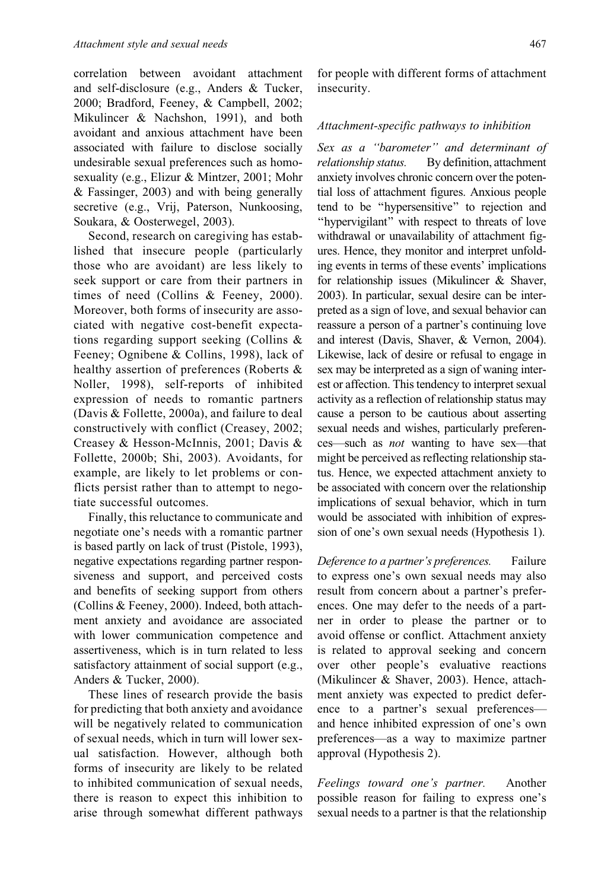correlation between avoidant attachment and self-disclosure (e.g., Anders & Tucker, 2000; Bradford, Feeney, & Campbell, 2002; Mikulincer & Nachshon, 1991), and both avoidant and anxious attachment have been associated with failure to disclose socially undesirable sexual preferences such as homosexuality (e.g., Elizur & Mintzer, 2001; Mohr & Fassinger, 2003) and with being generally secretive (e.g., Vrij, Paterson, Nunkoosing, Soukara, & Oosterwegel, 2003).

Second, research on caregiving has established that insecure people (particularly those who are avoidant) are less likely to seek support or care from their partners in times of need (Collins & Feeney, 2000). Moreover, both forms of insecurity are associated with negative cost-benefit expectations regarding support seeking (Collins & Feeney; Ognibene & Collins, 1998), lack of healthy assertion of preferences (Roberts & Noller, 1998), self-reports of inhibited expression of needs to romantic partners (Davis & Follette, 2000a), and failure to deal constructively with conflict (Creasey, 2002; Creasey & Hesson-McInnis, 2001; Davis & Follette, 2000b; Shi, 2003). Avoidants, for example, are likely to let problems or conflicts persist rather than to attempt to negotiate successful outcomes.

Finally, this reluctance to communicate and negotiate one's needs with a romantic partner is based partly on lack of trust (Pistole, 1993), negative expectations regarding partner responsiveness and support, and perceived costs and benefits of seeking support from others (Collins & Feeney, 2000). Indeed, both attachment anxiety and avoidance are associated with lower communication competence and assertiveness, which is in turn related to less satisfactory attainment of social support (e.g., Anders & Tucker, 2000).

These lines of research provide the basis for predicting that both anxiety and avoidance will be negatively related to communication of sexual needs, which in turn will lower sexual satisfaction. However, although both forms of insecurity are likely to be related to inhibited communication of sexual needs, there is reason to expect this inhibition to arise through somewhat different pathways

for people with different forms of attachment insecurity.

#### Attachment-specific pathways to inhibition

Sex as a ''barometer'' and determinant of relationship status. By definition, attachment anxiety involves chronic concern over the potential loss of attachment figures. Anxious people tend to be ''hypersensitive'' to rejection and ''hypervigilant'' with respect to threats of love withdrawal or unavailability of attachment figures. Hence, they monitor and interpret unfolding events in terms of these events' implications for relationship issues (Mikulincer & Shaver, 2003). In particular, sexual desire can be interpreted as a sign of love, and sexual behavior can reassure a person of a partner's continuing love and interest (Davis, Shaver, & Vernon, 2004). Likewise, lack of desire or refusal to engage in sex may be interpreted as a sign of waning interest or affection. This tendency to interpret sexual activity as a reflection of relationship status may cause a person to be cautious about asserting sexual needs and wishes, particularly preferences—such as not wanting to have sex—that might be perceived as reflecting relationship status. Hence, we expected attachment anxiety to be associated with concern over the relationship implications of sexual behavior, which in turn would be associated with inhibition of expression of one's own sexual needs (Hypothesis 1).

Deference to a partner's preferences. Failure to express one's own sexual needs may also result from concern about a partner's preferences. One may defer to the needs of a partner in order to please the partner or to avoid offense or conflict. Attachment anxiety is related to approval seeking and concern over other people's evaluative reactions (Mikulincer & Shaver, 2003). Hence, attachment anxiety was expected to predict deference to a partner's sexual preferences and hence inhibited expression of one's own preferences—as a way to maximize partner approval (Hypothesis 2).

Feelings toward one's partner. Another possible reason for failing to express one's sexual needs to a partner is that the relationship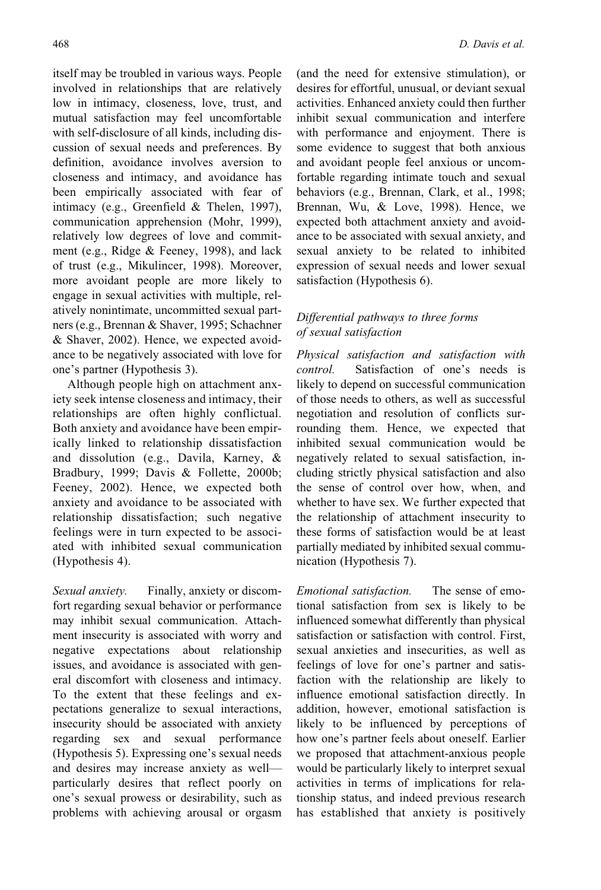itself may be troubled in various ways. People involved in relationships that are relatively low in intimacy, closeness, love, trust, and mutual satisfaction may feel uncomfortable with self-disclosure of all kinds, including discussion of sexual needs and preferences. By definition, avoidance involves aversion to closeness and intimacy, and avoidance has been empirically associated with fear of intimacy (e.g., Greenfield & Thelen, 1997), communication apprehension (Mohr, 1999), relatively low degrees of love and commitment (e.g., Ridge & Feeney, 1998), and lack of trust (e.g., Mikulincer, 1998). Moreover, more avoidant people are more likely to engage in sexual activities with multiple, relatively nonintimate, uncommitted sexual partners (e.g., Brennan & Shaver, 1995; Schachner & Shaver, 2002). Hence, we expected avoidance to be negatively associated with love for one's partner (Hypothesis 3).

Although people high on attachment anxiety seek intense closeness and intimacy, their relationships are often highly conflictual. Both anxiety and avoidance have been empirically linked to relationship dissatisfaction and dissolution (e.g., Davila, Karney, & Bradbury, 1999; Davis & Follette, 2000b; Feeney, 2002). Hence, we expected both anxiety and avoidance to be associated with relationship dissatisfaction; such negative feelings were in turn expected to be associated with inhibited sexual communication (Hypothesis 4).

Sexual anxiety. Finally, anxiety or discomfort regarding sexual behavior or performance may inhibit sexual communication. Attachment insecurity is associated with worry and negative expectations about relationship issues, and avoidance is associated with general discomfort with closeness and intimacy. To the extent that these feelings and expectations generalize to sexual interactions, insecurity should be associated with anxiety regarding sex and sexual performance (Hypothesis 5). Expressing one's sexual needs and desires may increase anxiety as well particularly desires that reflect poorly on one's sexual prowess or desirability, such as problems with achieving arousal or orgasm (and the need for extensive stimulation), or desires for effortful, unusual, or deviant sexual activities. Enhanced anxiety could then further inhibit sexual communication and interfere with performance and enjoyment. There is some evidence to suggest that both anxious and avoidant people feel anxious or uncomfortable regarding intimate touch and sexual behaviors (e.g., Brennan, Clark, et al., 1998; Brennan, Wu, & Love, 1998). Hence, we expected both attachment anxiety and avoidance to be associated with sexual anxiety, and sexual anxiety to be related to inhibited expression of sexual needs and lower sexual satisfaction (Hypothesis 6).

# Differential pathways to three forms of sexual satisfaction

Physical satisfaction and satisfaction with control. Satisfaction of one's needs is likely to depend on successful communication of those needs to others, as well as successful negotiation and resolution of conflicts surrounding them. Hence, we expected that inhibited sexual communication would be negatively related to sexual satisfaction, including strictly physical satisfaction and also the sense of control over how, when, and whether to have sex. We further expected that the relationship of attachment insecurity to these forms of satisfaction would be at least partially mediated by inhibited sexual communication (Hypothesis 7).

Emotional satisfaction. The sense of emotional satisfaction from sex is likely to be influenced somewhat differently than physical satisfaction or satisfaction with control. First, sexual anxieties and insecurities, as well as feelings of love for one's partner and satisfaction with the relationship are likely to influence emotional satisfaction directly. In addition, however, emotional satisfaction is likely to be influenced by perceptions of how one's partner feels about oneself. Earlier we proposed that attachment-anxious people would be particularly likely to interpret sexual activities in terms of implications for relationship status, and indeed previous research has established that anxiety is positively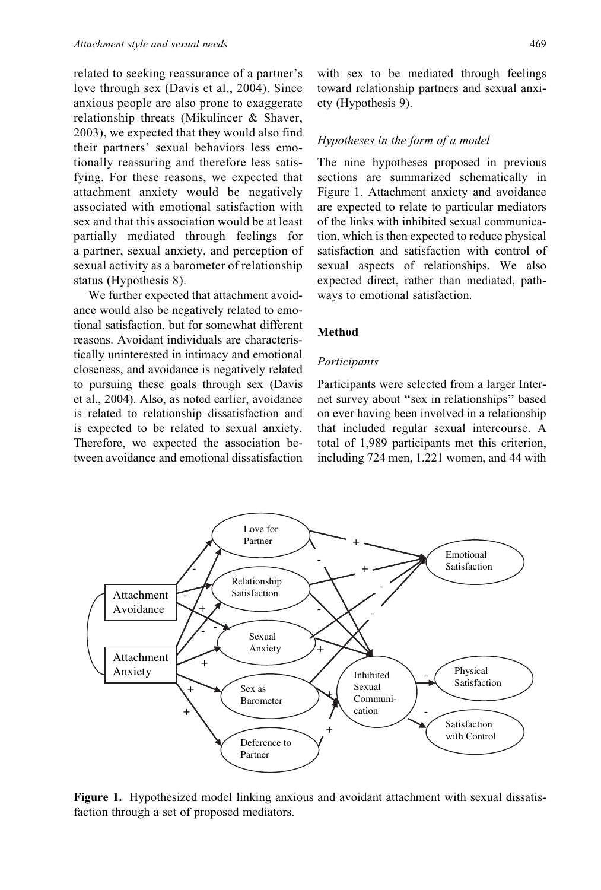related to seeking reassurance of a partner's love through sex (Davis et al., 2004). Since anxious people are also prone to exaggerate relationship threats (Mikulincer & Shaver, 2003), we expected that they would also find their partners' sexual behaviors less emotionally reassuring and therefore less satisfying. For these reasons, we expected that attachment anxiety would be negatively associated with emotional satisfaction with sex and that this association would be at least partially mediated through feelings for a partner, sexual anxiety, and perception of sexual activity as a barometer of relationship status (Hypothesis 8).

We further expected that attachment avoidance would also be negatively related to emotional satisfaction, but for somewhat different reasons. Avoidant individuals are characteristically uninterested in intimacy and emotional closeness, and avoidance is negatively related to pursuing these goals through sex (Davis et al., 2004). Also, as noted earlier, avoidance is related to relationship dissatisfaction and is expected to be related to sexual anxiety. Therefore, we expected the association between avoidance and emotional dissatisfaction with sex to be mediated through feelings toward relationship partners and sexual anxiety (Hypothesis 9).

#### Hypotheses in the form of a model

The nine hypotheses proposed in previous sections are summarized schematically in Figure 1. Attachment anxiety and avoidance are expected to relate to particular mediators of the links with inhibited sexual communication, which is then expected to reduce physical satisfaction and satisfaction with control of sexual aspects of relationships. We also expected direct, rather than mediated, pathways to emotional satisfaction.

#### Method

#### Participants

Participants were selected from a larger Internet survey about ''sex in relationships'' based on ever having been involved in a relationship that included regular sexual intercourse. A total of 1,989 participants met this criterion, including 724 men, 1,221 women, and 44 with



Figure 1. Hypothesized model linking anxious and avoidant attachment with sexual dissatisfaction through a set of proposed mediators.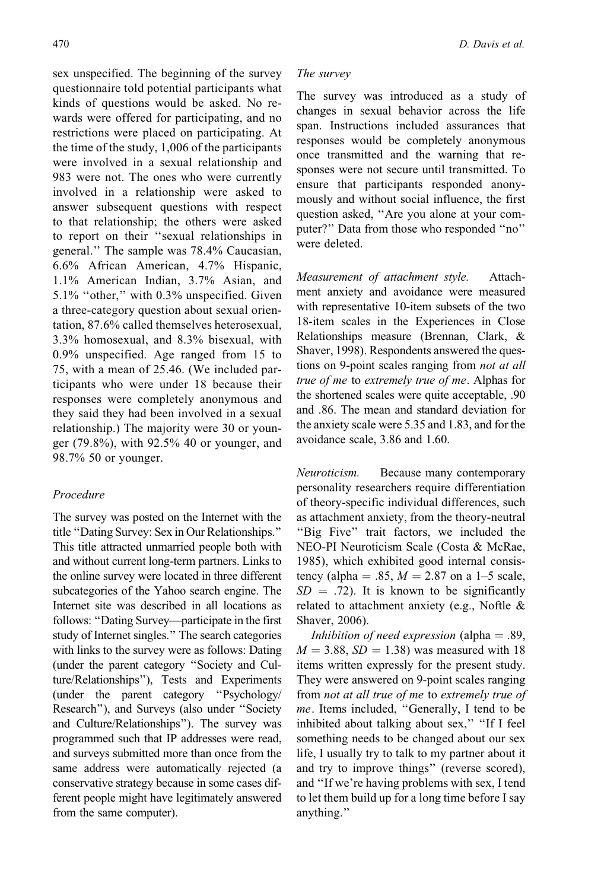sex unspecified. The beginning of the survey questionnaire told potential participants what kinds of questions would be asked. No rewards were offered for participating, and no restrictions were placed on participating. At the time of the study, 1,006 of the participants were involved in a sexual relationship and 983 were not. The ones who were currently involved in a relationship were asked to answer subsequent questions with respect to that relationship; the others were asked to report on their ''sexual relationships in general.'' The sample was 78.4% Caucasian, 6.6% African American, 4.7% Hispanic, 1.1% American Indian, 3.7% Asian, and 5.1% ''other,'' with 0.3% unspecified. Given a three-category question about sexual orientation, 87.6% called themselves heterosexual, 3.3% homosexual, and 8.3% bisexual, with 0.9% unspecified. Age ranged from 15 to 75, with a mean of 25.46. (We included participants who were under 18 because their responses were completely anonymous and they said they had been involved in a sexual relationship.) The majority were 30 or younger (79.8%), with 92.5% 40 or younger, and 98.7% 50 or younger.

# Procedure

The survey was posted on the Internet with the title ''Dating Survey: Sex in Our Relationships.'' This title attracted unmarried people both with and without current long-term partners. Links to the online survey were located in three different subcategories of the Yahoo search engine. The Internet site was described in all locations as follows: ''Dating Survey—participate in the first study of Internet singles.'' The search categories with links to the survey were as follows: Dating (under the parent category ''Society and Culture/Relationships''), Tests and Experiments (under the parent category ''Psychology/ Research''), and Surveys (also under ''Society and Culture/Relationships''). The survey was programmed such that IP addresses were read, and surveys submitted more than once from the same address were automatically rejected (a conservative strategy because in some cases different people might have legitimately answered from the same computer).

## The survey

The survey was introduced as a study of changes in sexual behavior across the life span. Instructions included assurances that responses would be completely anonymous once transmitted and the warning that responses were not secure until transmitted. To ensure that participants responded anonymously and without social influence, the first question asked, ''Are you alone at your computer?'' Data from those who responded ''no'' were deleted.

Measurement of attachment style. Attachment anxiety and avoidance were measured with representative 10-item subsets of the two 18-item scales in the Experiences in Close Relationships measure (Brennan, Clark, & Shaver, 1998). Respondents answered the questions on 9-point scales ranging from not at all true of me to extremely true of me. Alphas for the shortened scales were quite acceptable, .90 and .86. The mean and standard deviation for the anxiety scale were 5.35 and 1.83, and for the avoidance scale, 3.86 and 1.60.

Neuroticism. Because many contemporary personality researchers require differentiation of theory-specific individual differences, such as attachment anxiety, from the theory-neutral "Big Five" trait factors, we included the NEO-PI Neuroticism Scale (Costa & McRae, 1985), which exhibited good internal consistency (alpha = .85,  $M = 2.87$  on a 1–5 scale,  $SD = .72$ ). It is known to be significantly related to attachment anxiety (e.g., Noftle & Shaver, 2006).

*Inhibition of need expression* (alpha  $= .89$ ,  $M = 3.88$ ,  $SD = 1.38$ ) was measured with 18 items written expressly for the present study. They were answered on 9-point scales ranging from not at all true of me to extremely true of me. Items included, "Generally, I tend to be inhibited about talking about sex,'' ''If I feel something needs to be changed about our sex life, I usually try to talk to my partner about it and try to improve things'' (reverse scored), and ''If we're having problems with sex, I tend to let them build up for a long time before I say anything.''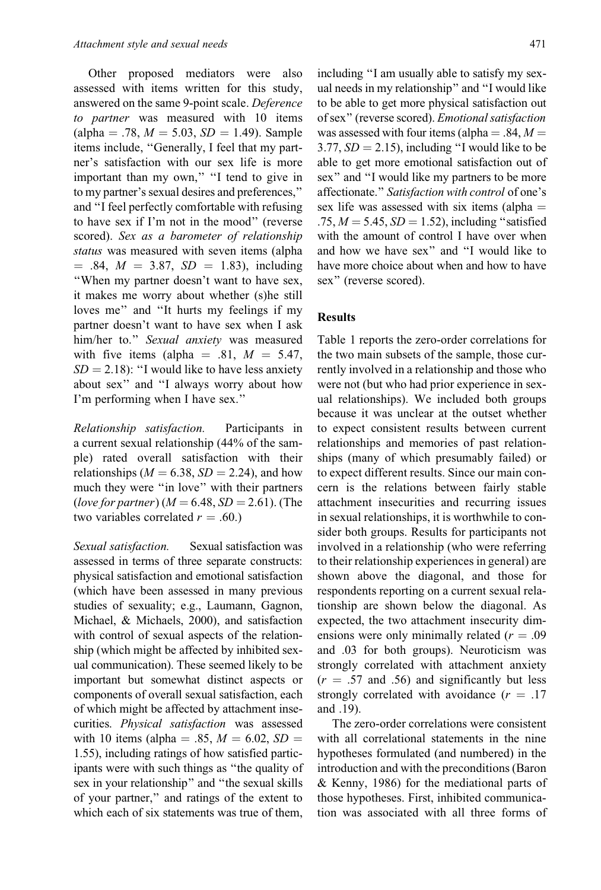Other proposed mediators were also assessed with items written for this study, answered on the same 9-point scale. Deference to partner was measured with 10 items  $\text{(alpha} = .78, M = 5.03, SD = 1.49).$  Sample items include, ''Generally, I feel that my partner's satisfaction with our sex life is more important than my own," "I tend to give in to my partner's sexual desires and preferences,'' and ''I feel perfectly comfortable with refusing to have sex if I'm not in the mood'' (reverse scored). Sex as a barometer of relationship status was measured with seven items (alpha  $= .84, M = 3.87, SD = 1.83$ , including ''When my partner doesn't want to have sex, it makes me worry about whether (s)he still loves me'' and ''It hurts my feelings if my partner doesn't want to have sex when I ask him/her to." Sexual anxiety was measured with five items (alpha = .81,  $M = 5.47$ ,  $SD = 2.18$ : "I would like to have less anxiety about sex'' and ''I always worry about how I'm performing when I have sex.''

Relationship satisfaction. Participants in a current sexual relationship (44% of the sample) rated overall satisfaction with their relationships ( $M = 6.38$ ,  $SD = 2.24$ ), and how much they were "in love" with their partners (love for partner) ( $M = 6.48$ ,  $SD = 2.61$ ). (The two variables correlated  $r = .60$ .)

Sexual satisfaction. Sexual satisfaction was assessed in terms of three separate constructs: physical satisfaction and emotional satisfaction (which have been assessed in many previous studies of sexuality; e.g., Laumann, Gagnon, Michael, & Michaels, 2000), and satisfaction with control of sexual aspects of the relationship (which might be affected by inhibited sexual communication). These seemed likely to be important but somewhat distinct aspects or components of overall sexual satisfaction, each of which might be affected by attachment insecurities. Physical satisfaction was assessed with 10 items (alpha = .85,  $M = 6.02$ ,  $SD =$ 1.55), including ratings of how satisfied participants were with such things as ''the quality of sex in your relationship'' and ''the sexual skills of your partner,'' and ratings of the extent to which each of six statements was true of them,

including ''I am usually able to satisfy my sexual needs in my relationship'' and ''I would like to be able to get more physical satisfaction out of sex'' (reverse scored). Emotional satisfaction was assessed with four items (alpha  $= .84, M =$ 3.77,  $SD = 2.15$ ), including "I would like to be able to get more emotional satisfaction out of sex'' and ''I would like my partners to be more affectionate.'' Satisfaction with control of one's sex life was assessed with six items (alpha  $=$  $.75, M = 5.45, SD = 1.52$ , including "satisfied with the amount of control I have over when and how we have sex'' and ''I would like to have more choice about when and how to have sex'' (reverse scored).

## **Results**

Table 1 reports the zero-order correlations for the two main subsets of the sample, those currently involved in a relationship and those who were not (but who had prior experience in sexual relationships). We included both groups because it was unclear at the outset whether to expect consistent results between current relationships and memories of past relationships (many of which presumably failed) or to expect different results. Since our main concern is the relations between fairly stable attachment insecurities and recurring issues in sexual relationships, it is worthwhile to consider both groups. Results for participants not involved in a relationship (who were referring to their relationship experiences in general) are shown above the diagonal, and those for respondents reporting on a current sexual relationship are shown below the diagonal. As expected, the two attachment insecurity dimensions were only minimally related ( $r = .09$ ) and .03 for both groups). Neuroticism was strongly correlated with attachment anxiety  $(r = .57$  and .56) and significantly but less strongly correlated with avoidance  $(r = .17)$ and .19).

The zero-order correlations were consistent with all correlational statements in the nine hypotheses formulated (and numbered) in the introduction and with the preconditions (Baron & Kenny, 1986) for the mediational parts of those hypotheses. First, inhibited communication was associated with all three forms of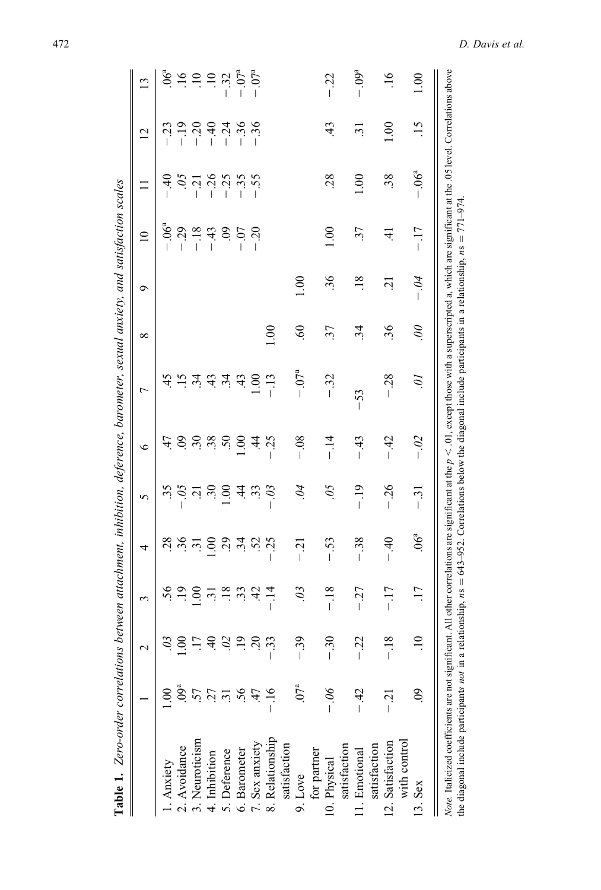|                  |               | $\mathrel{\sim}$ | ξ                   | 4                   | 5                    | $\circ$       | 冖               | $^{\circ}$          | ٥                | $\supseteq$               |                       | $\overline{2}$                         | $\overline{3}$                |
|------------------|---------------|------------------|---------------------|---------------------|----------------------|---------------|-----------------|---------------------|------------------|---------------------------|-----------------------|----------------------------------------|-------------------------------|
| . Anxiety        |               |                  | .56                 |                     | 35                   | $\frac{1}{4}$ | 45              |                     |                  | $.06^{a}$                 | $\dot{a}$             | $\ddot{c}$<br>T                        |                               |
| 2. Avoidance     | $9^a$         |                  |                     | 36                  | $-0.5$               | 60            | $\overline{15}$ |                     |                  | 29<br>Ï                   | $\overline{\omega}$ . | Ť                                      |                               |
| 3. Neuroticism   | 57            |                  | S                   | $\overline{\Omega}$ | $\overline{C}$       | $\ddot{.}$    | $\ddot{34}$     |                     |                  | $-18$                     | <u>ات</u>             | $\ddot{5}$                             | $5 - 9 - 2$                   |
| 4. Inhibition    |               | ਰ੍               | $\tilde{\bm{c}}$    | S                   | $\ddot{\mathcal{E}}$ | 38            | $\ddot{4}$      |                     |                  | 43<br>$\overline{1}$      | .26<br>$\overline{1}$ | $\ddot{=}$<br>$\overline{\phantom{a}}$ |                               |
| 5. Deference     |               | $\ddot{o}$       | 18                  | $\overline{c}$      | $\sim$               | $\ddot{50}$   | 34              |                     |                  | $\ddot{\mathrm{e}}$       | $-25$                 | .24<br>$\overline{1}$                  |                               |
| 6. Barometer     |               |                  | 33                  | $\ddot{34}$         | र्च                  | S.            | 43              |                     |                  | $-0.07$<br>$\overline{1}$ | $-35$                 | $-36$                                  | $-0$ <sup>7<sup>a</sup></sup> |
| 7. Sex anxiety   |               |                  | $\dot{a}$           | $\ddot{c}$          | $\ddot{3}$           | र्च           | $\frac{8}{1}$   |                     |                  | $-20$                     | $-55$                 | $-36$                                  | $5^{\circ}$                   |
| 8. Relationship  |               |                  | $\overline{1}$      | 25                  | $-.03$               | 52            | $-13$           | 00.1                |                  |                           |                       |                                        |                               |
| satisfaction     |               |                  |                     |                     |                      |               |                 |                     |                  |                           |                       |                                        |                               |
| 9. Love          | $\tilde{C}^a$ | $-39$            | $\overline{\omega}$ | $-21$               | $\dot{\mathcal{C}}$  | $-0.8$        | $-.07^{\rm a}$  | $\ddot{\mathrm{6}}$ | 00.1             |                           |                       |                                        |                               |
| for partner      |               |                  |                     |                     |                      |               |                 |                     |                  |                           |                       |                                        |                               |
| 10. Physical     | $90 -$        | $-30$            | $-18$               | $-.53$              | $\overline{0}$ .     | $-14$         | $-32$           | $\ddot{37}$         | 36               | 00.1                      | .28                   | 43                                     | $-0.22$                       |
| satisfaction     |               |                  |                     |                     |                      |               |                 |                     |                  |                           |                       |                                        |                               |
| 1. Emotional     | $-42$         | - 22             | 27                  | $-.38$              | $-19$                | $-43$         | $-53$           | 34                  | $\overline{.18}$ | 37                        | $\frac{8}{1}$         | <u>ی</u>                               | $-09^{\rm a}$                 |
| satisfaction     |               |                  |                     |                     |                      |               |                 |                     |                  |                           |                       |                                        |                               |
| 12. Satisfaction | $-21$         | $-18$            | $-17$               | $-40$               | $-0.26$              | $-42$         | $-28$           | 36                  | $\overline{c}$   | ਚ                         | $\ddot{38}$           | $\widetilde{\mathrm{S}}$               | .16                           |
| with control     |               |                  |                     |                     |                      |               |                 |                     |                  |                           |                       |                                        |                               |
| 13. Sex          | S.            |                  | $\overline{17}$     | $.06^{a}$           | <u>ان</u><br>ا       | $-.02$        | Ö.              | $\omega$ .          | $-0.4$           | $-17$                     | $-.06^{\mathrm{a}}$   | $\frac{15}{1}$                         | $\frac{8}{1}$                 |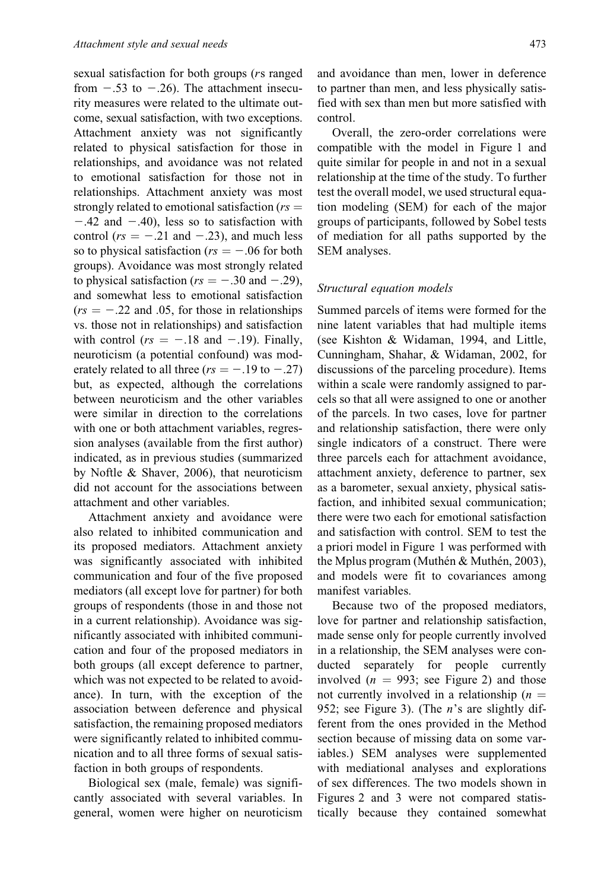sexual satisfaction for both groups (rs ranged from  $-.53$  to  $-.26$ ). The attachment insecurity measures were related to the ultimate outcome, sexual satisfaction, with two exceptions. Attachment anxiety was not significantly related to physical satisfaction for those in relationships, and avoidance was not related to emotional satisfaction for those not in relationships. Attachment anxiety was most strongly related to emotional satisfaction ( $rs =$  $-.42$  and  $-.40$ ), less so to satisfaction with control ( $rs = -.21$  and  $-.23$ ), and much less so to physical satisfaction ( $rs = -.06$  for both groups). Avoidance was most strongly related to physical satisfaction ( $rs = -.30$  and  $-.29$ ), and somewhat less to emotional satisfaction  $(rs = -.22$  and 0.05, for those in relationships vs. those not in relationships) and satisfaction with control ( $rs = -.18$  and  $-.19$ ). Finally, neuroticism (a potential confound) was moderately related to all three ( $rs = -.19$  to  $-.27$ ) but, as expected, although the correlations between neuroticism and the other variables were similar in direction to the correlations with one or both attachment variables, regression analyses (available from the first author) indicated, as in previous studies (summarized by Noftle & Shaver, 2006), that neuroticism did not account for the associations between attachment and other variables.

Attachment anxiety and avoidance were also related to inhibited communication and its proposed mediators. Attachment anxiety was significantly associated with inhibited communication and four of the five proposed mediators (all except love for partner) for both groups of respondents (those in and those not in a current relationship). Avoidance was significantly associated with inhibited communication and four of the proposed mediators in both groups (all except deference to partner, which was not expected to be related to avoidance). In turn, with the exception of the association between deference and physical satisfaction, the remaining proposed mediators were significantly related to inhibited communication and to all three forms of sexual satisfaction in both groups of respondents.

Biological sex (male, female) was significantly associated with several variables. In general, women were higher on neuroticism

and avoidance than men, lower in deference to partner than men, and less physically satisfied with sex than men but more satisfied with control.

Overall, the zero-order correlations were compatible with the model in Figure 1 and quite similar for people in and not in a sexual relationship at the time of the study. To further test the overall model, we used structural equation modeling (SEM) for each of the major groups of participants, followed by Sobel tests of mediation for all paths supported by the SEM analyses.

#### Structural equation models

Summed parcels of items were formed for the nine latent variables that had multiple items (see Kishton & Widaman, 1994, and Little, Cunningham, Shahar, & Widaman, 2002, for discussions of the parceling procedure). Items within a scale were randomly assigned to parcels so that all were assigned to one or another of the parcels. In two cases, love for partner and relationship satisfaction, there were only single indicators of a construct. There were three parcels each for attachment avoidance, attachment anxiety, deference to partner, sex as a barometer, sexual anxiety, physical satisfaction, and inhibited sexual communication; there were two each for emotional satisfaction and satisfaction with control. SEM to test the a priori model in Figure 1 was performed with the Mplus program (Muthén & Muthén, 2003), and models were fit to covariances among manifest variables.

Because two of the proposed mediators, love for partner and relationship satisfaction, made sense only for people currently involved in a relationship, the SEM analyses were conducted separately for people currently involved ( $n = 993$ ; see Figure 2) and those not currently involved in a relationship  $(n =$ 952; see Figure 3). (The  $n$ 's are slightly different from the ones provided in the Method section because of missing data on some variables.) SEM analyses were supplemented with mediational analyses and explorations of sex differences. The two models shown in Figures 2 and 3 were not compared statistically because they contained somewhat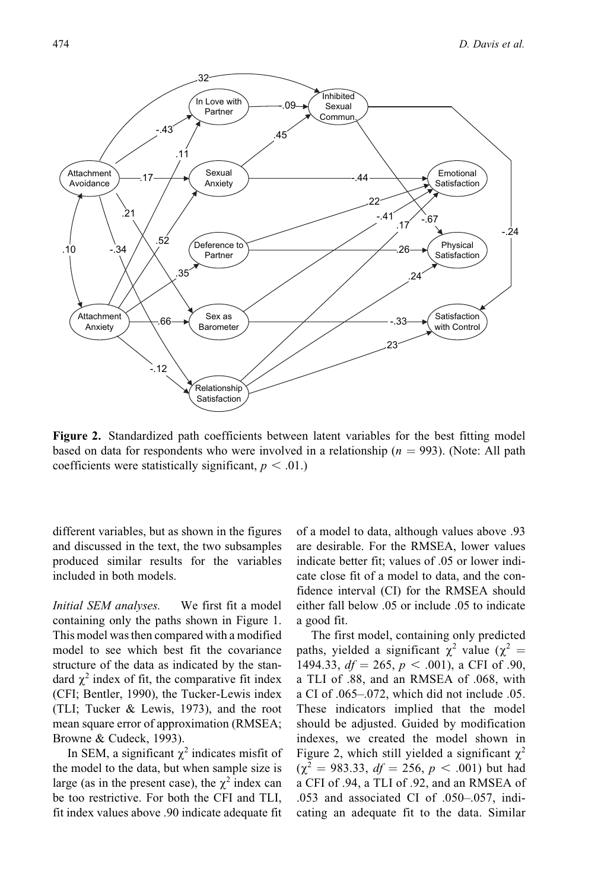

Figure 2. Standardized path coefficients between latent variables for the best fitting model based on data for respondents who were involved in a relationship ( $n = 993$ ). (Note: All path coefficients were statistically significant,  $p < .01$ .)

different variables, but as shown in the figures and discussed in the text, the two subsamples produced similar results for the variables included in both models.

Initial SEM analyses. We first fit a model containing only the paths shown in Figure 1. This model was then compared with a modified model to see which best fit the covariance structure of the data as indicated by the standard  $\chi^2$  index of fit, the comparative fit index (CFI; Bentler, 1990), the Tucker-Lewis index (TLI; Tucker & Lewis, 1973), and the root mean square error of approximation (RMSEA; Browne & Cudeck, 1993).

In SEM, a significant  $\chi^2$  indicates misfit of the model to the data, but when sample size is large (as in the present case), the  $\chi^2$  index can be too restrictive. For both the CFI and TLI, fit index values above .90 indicate adequate fit

of a model to data, although values above .93 are desirable. For the RMSEA, lower values indicate better fit; values of .05 or lower indicate close fit of a model to data, and the confidence interval (CI) for the RMSEA should either fall below .05 or include .05 to indicate a good fit.

The first model, containing only predicted paths, yielded a significant  $\chi^2$  value ( $\chi^2$  = 1494.33,  $df = 265$ ,  $p < .001$ ), a CFI of .90, a TLI of .88, and an RMSEA of .068, with a CI of .065–.072, which did not include .05. These indicators implied that the model should be adjusted. Guided by modification indexes, we created the model shown in Figure 2, which still yielded a significant  $\chi^2$  $(\chi^2 = 983.33, df = 256, p < .001)$  but had a CFI of .94, a TLI of .92, and an RMSEA of .053 and associated CI of .050–.057, indicating an adequate fit to the data. Similar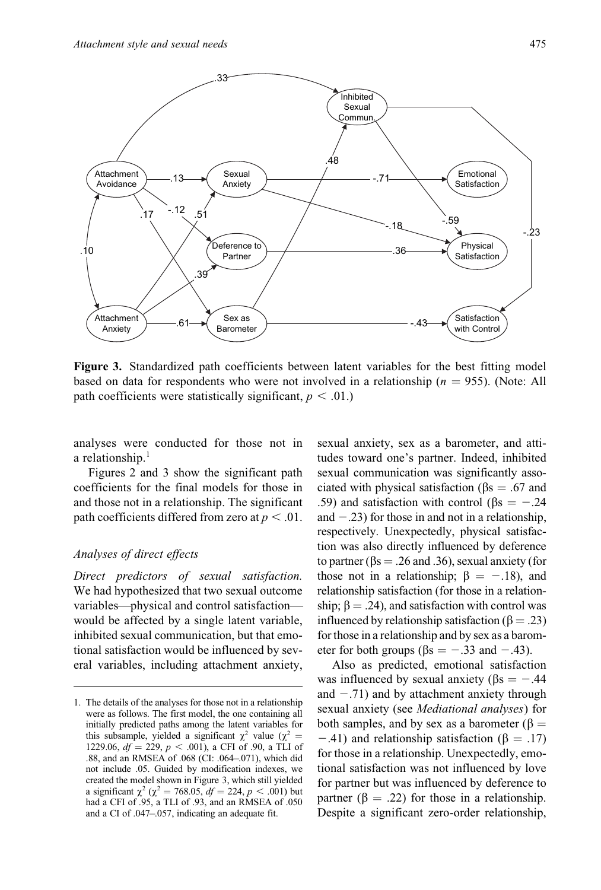

Figure 3. Standardized path coefficients between latent variables for the best fitting model based on data for respondents who were not involved in a relationship ( $n = 955$ ). (Note: All path coefficients were statistically significant,  $p < .01$ .)

analyses were conducted for those not in a relationship. $<sup>1</sup>$ </sup>

Figures 2 and 3 show the significant path coefficients for the final models for those in and those not in a relationship. The significant path coefficients differed from zero at  $p < .01$ .

#### Analyses of direct effects

Direct predictors of sexual satisfaction. We had hypothesized that two sexual outcome variables—physical and control satisfaction would be affected by a single latent variable, inhibited sexual communication, but that emotional satisfaction would be influenced by several variables, including attachment anxiety, sexual anxiety, sex as a barometer, and attitudes toward one's partner. Indeed, inhibited sexual communication was significantly associated with physical satisfaction ( $\beta$ s = .67 and .59) and satisfaction with control ( $\beta$ s = -.24 and  $-0.23$ ) for those in and not in a relationship, respectively. Unexpectedly, physical satisfaction was also directly influenced by deference to partner ( $\beta$ s = .26 and .36), sexual anxiety (for those not in a relationship;  $\beta = -.18$ ), and relationship satisfaction (for those in a relationship;  $\beta = .24$ ), and satisfaction with control was influenced by relationship satisfaction ( $\beta = .23$ ) for those in a relationship and by sex as a barometer for both groups ( $\beta$ s = -.33 and -.43).

Also as predicted, emotional satisfaction was influenced by sexual anxiety ( $\beta$ s = -.44 and  $-0.71$ ) and by attachment anxiety through sexual anxiety (see Mediational analyses) for both samples, and by sex as a barometer ( $\beta =$  $-0.41$ ) and relationship satisfaction ( $\beta = 0.17$ ) for those in a relationship. Unexpectedly, emotional satisfaction was not influenced by love for partner but was influenced by deference to partner ( $\beta$  = .22) for those in a relationship. Despite a significant zero-order relationship,

<sup>1.</sup> The details of the analyses for those not in a relationship were as follows. The first model, the one containing all initially predicted paths among the latent variables for this subsample, yielded a significant  $\chi^2$  value ( $\chi^2$  = 1229.06,  $df = 229$ ,  $p < .001$ ), a CFI of .90, a TLI of .88, and an RMSEA of .068 (CI: .064–.071), which did not include .05. Guided by modification indexes, we created the model shown in Figure 3, which still yielded a significant  $\chi^2$  ( $\chi^2$  = 768.05,  $df$  = 224, p < .001) but had a CFI of .95, a TLI of .93, and an RMSEA of .050 and a CI of .047–.057, indicating an adequate fit.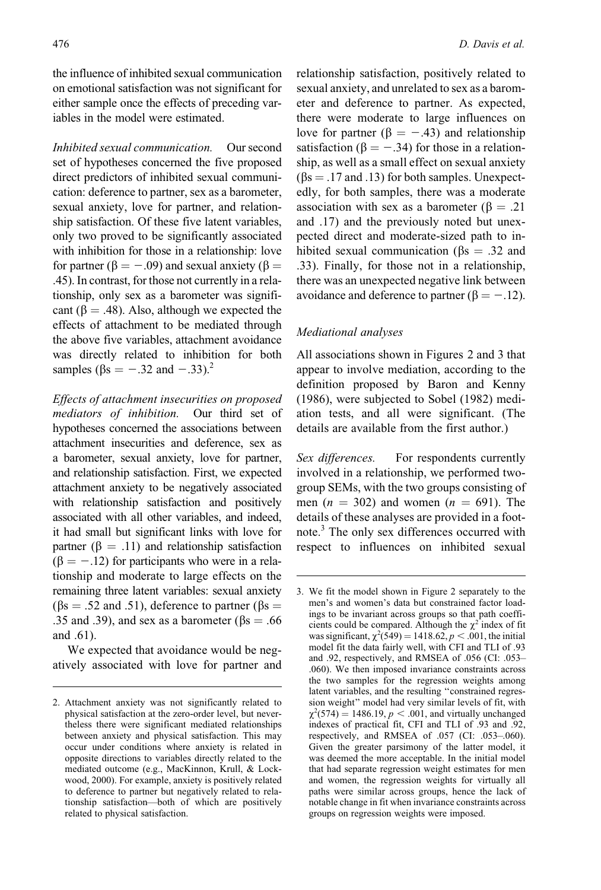the influence of inhibited sexual communication on emotional satisfaction was not significant for either sample once the effects of preceding variables in the model were estimated.

Inhibited sexual communication. Our second set of hypotheses concerned the five proposed direct predictors of inhibited sexual communication: deference to partner, sex as a barometer, sexual anxiety, love for partner, and relationship satisfaction. Of these five latent variables, only two proved to be significantly associated with inhibition for those in a relationship: love for partner ( $\beta = -.09$ ) and sexual anxiety ( $\beta =$ .45). In contrast, for those not currently in a relationship, only sex as a barometer was significant ( $\beta = .48$ ). Also, although we expected the effects of attachment to be mediated through the above five variables, attachment avoidance was directly related to inhibition for both samples ( $\beta$ s = -.32 and -.33).<sup>2</sup>

Effects of attachment insecurities on proposed mediators of inhibition. Our third set of hypotheses concerned the associations between attachment insecurities and deference, sex as a barometer, sexual anxiety, love for partner, and relationship satisfaction. First, we expected attachment anxiety to be negatively associated with relationship satisfaction and positively associated with all other variables, and indeed, it had small but significant links with love for partner ( $\beta = .11$ ) and relationship satisfaction  $(\beta = -.12)$  for participants who were in a relationship and moderate to large effects on the remaining three latent variables: sexual anxiety  $(\beta s = .52 \text{ and } .51)$ , deference to partner ( $\beta s =$ .35 and .39), and sex as a barometer ( $\beta$ s = .66 and .61).

We expected that avoidance would be negatively associated with love for partner and relationship satisfaction, positively related to sexual anxiety, and unrelated to sex as a barometer and deference to partner. As expected, there were moderate to large influences on love for partner ( $\beta = -.43$ ) and relationship satisfaction ( $\beta = -.34$ ) for those in a relationship, as well as a small effect on sexual anxiety  $(\beta s = .17$  and .13) for both samples. Unexpectedly, for both samples, there was a moderate association with sex as a barometer ( $\beta = .21$ ) and .17) and the previously noted but unexpected direct and moderate-sized path to inhibited sexual communication ( $\beta$ s = .32 and .33). Finally, for those not in a relationship, there was an unexpected negative link between avoidance and deference to partner ( $\beta = -.12$ ).

## Mediational analyses

All associations shown in Figures 2 and 3 that appear to involve mediation, according to the definition proposed by Baron and Kenny (1986), were subjected to Sobel (1982) mediation tests, and all were significant. (The details are available from the first author.)

Sex differences. For respondents currently involved in a relationship, we performed twogroup SEMs, with the two groups consisting of men ( $n = 302$ ) and women ( $n = 691$ ). The details of these analyses are provided in a footnote.<sup>3</sup> The only sex differences occurred with respect to influences on inhibited sexual

<sup>2.</sup> Attachment anxiety was not significantly related to physical satisfaction at the zero-order level, but nevertheless there were significant mediated relationships between anxiety and physical satisfaction. This may occur under conditions where anxiety is related in opposite directions to variables directly related to the mediated outcome (e.g., MacKinnon, Krull, & Lockwood, 2000). For example, anxiety is positively related to deference to partner but negatively related to relationship satisfaction—both of which are positively related to physical satisfaction.

<sup>3.</sup> We fit the model shown in Figure 2 separately to the men's and women's data but constrained factor loadings to be invariant across groups so that path coefficients could be compared. Although the  $\chi^2$  index of fit was significant,  $\chi^2(549) = 1418.62, p < .001$ , the initial model fit the data fairly well, with CFI and TLI of .93 and .92, respectively, and RMSEA of .056 (CI: .053– .060). We then imposed invariance constraints across the two samples for the regression weights among latent variables, and the resulting ''constrained regression weight'' model had very similar levels of fit, with  $\chi^2$ (574) = 1486.19, p < .001, and virtually unchanged indexes of practical fit, CFI and TLI of .93 and .92, respectively, and RMSEA of .057 (CI: .053–.060). Given the greater parsimony of the latter model, it was deemed the more acceptable. In the initial model that had separate regression weight estimates for men and women, the regression weights for virtually all paths were similar across groups, hence the lack of notable change in fit when invariance constraints across groups on regression weights were imposed.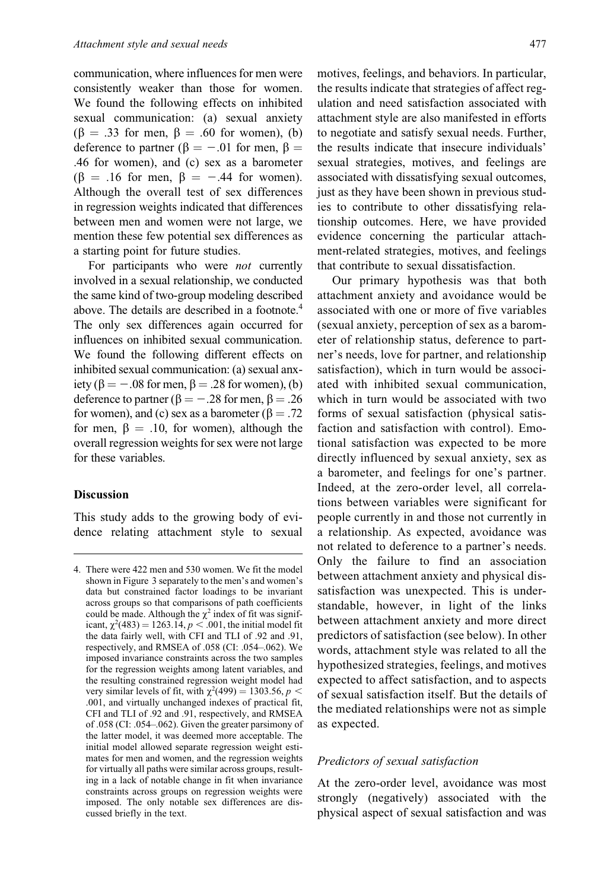communication, where influences for men were consistently weaker than those for women. We found the following effects on inhibited sexual communication: (a) sexual anxiety  $(\beta = .33$  for men,  $\beta = .60$  for women), (b) deference to partner ( $\beta = -.01$  for men,  $\beta =$ .46 for women), and (c) sex as a barometer  $(\beta = .16$  for men,  $\beta = -.44$  for women). Although the overall test of sex differences in regression weights indicated that differences between men and women were not large, we mention these few potential sex differences as a starting point for future studies.

For participants who were *not* currently involved in a sexual relationship, we conducted the same kind of two-group modeling described above. The details are described in a footnote.<sup>4</sup> The only sex differences again occurred for influences on inhibited sexual communication. We found the following different effects on inhibited sexual communication: (a) sexual anxiety ( $\beta = -.08$  for men,  $\beta = .28$  for women), (b) deference to partner ( $\beta = -.28$  for men,  $\beta = .26$ ) for women), and (c) sex as a barometer ( $\beta = .72$ for men,  $\beta = .10$ , for women), although the overall regression weights for sex were not large for these variables.

#### Discussion

This study adds to the growing body of evidence relating attachment style to sexual motives, feelings, and behaviors. In particular, the results indicate that strategies of affect regulation and need satisfaction associated with attachment style are also manifested in efforts to negotiate and satisfy sexual needs. Further, the results indicate that insecure individuals' sexual strategies, motives, and feelings are associated with dissatisfying sexual outcomes, just as they have been shown in previous studies to contribute to other dissatisfying relationship outcomes. Here, we have provided evidence concerning the particular attachment-related strategies, motives, and feelings that contribute to sexual dissatisfaction.

Our primary hypothesis was that both attachment anxiety and avoidance would be associated with one or more of five variables (sexual anxiety, perception of sex as a barometer of relationship status, deference to partner's needs, love for partner, and relationship satisfaction), which in turn would be associated with inhibited sexual communication, which in turn would be associated with two forms of sexual satisfaction (physical satisfaction and satisfaction with control). Emotional satisfaction was expected to be more directly influenced by sexual anxiety, sex as a barometer, and feelings for one's partner. Indeed, at the zero-order level, all correlations between variables were significant for people currently in and those not currently in a relationship. As expected, avoidance was not related to deference to a partner's needs. Only the failure to find an association between attachment anxiety and physical dissatisfaction was unexpected. This is understandable, however, in light of the links between attachment anxiety and more direct predictors of satisfaction (see below). In other words, attachment style was related to all the hypothesized strategies, feelings, and motives expected to affect satisfaction, and to aspects of sexual satisfaction itself. But the details of the mediated relationships were not as simple as expected.

#### Predictors of sexual satisfaction

At the zero-order level, avoidance was most strongly (negatively) associated with the physical aspect of sexual satisfaction and was

<sup>4.</sup> There were 422 men and 530 women. We fit the model shown in Figure 3 separately to the men's and women's data but constrained factor loadings to be invariant across groups so that comparisons of path coefficients could be made. Although the  $\chi^2$  index of fit was significant,  $\chi^2(483) = 1263.14, p < .001$ , the initial model fit the data fairly well, with CFI and TLI of .92 and .91, respectively, and RMSEA of .058 (CI: .054–.062). We imposed invariance constraints across the two samples for the regression weights among latent variables, and the resulting constrained regression weight model had very similar levels of fit, with  $\chi^2(499) = 1303.56, p <$ .001, and virtually unchanged indexes of practical fit, CFI and TLI of .92 and .91, respectively, and RMSEA of .058 (CI: .054–.062). Given the greater parsimony of the latter model, it was deemed more acceptable. The initial model allowed separate regression weight estimates for men and women, and the regression weights for virtually all paths were similar across groups, resulting in a lack of notable change in fit when invariance constraints across groups on regression weights were imposed. The only notable sex differences are discussed briefly in the text.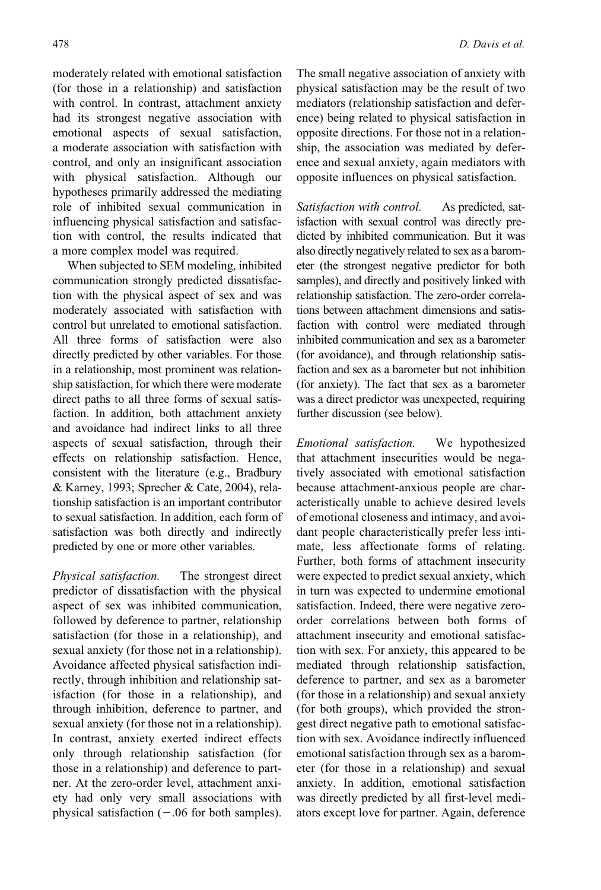moderately related with emotional satisfaction (for those in a relationship) and satisfaction with control. In contrast, attachment anxiety had its strongest negative association with emotional aspects of sexual satisfaction, a moderate association with satisfaction with control, and only an insignificant association with physical satisfaction. Although our hypotheses primarily addressed the mediating role of inhibited sexual communication in influencing physical satisfaction and satisfaction with control, the results indicated that a more complex model was required.

When subjected to SEM modeling, inhibited communication strongly predicted dissatisfaction with the physical aspect of sex and was moderately associated with satisfaction with control but unrelated to emotional satisfaction. All three forms of satisfaction were also directly predicted by other variables. For those in a relationship, most prominent was relationship satisfaction, for which there were moderate direct paths to all three forms of sexual satisfaction. In addition, both attachment anxiety and avoidance had indirect links to all three aspects of sexual satisfaction, through their effects on relationship satisfaction. Hence, consistent with the literature (e.g., Bradbury & Karney, 1993; Sprecher & Cate, 2004), relationship satisfaction is an important contributor to sexual satisfaction. In addition, each form of satisfaction was both directly and indirectly predicted by one or more other variables.

Physical satisfaction. The strongest direct predictor of dissatisfaction with the physical aspect of sex was inhibited communication, followed by deference to partner, relationship satisfaction (for those in a relationship), and sexual anxiety (for those not in a relationship). Avoidance affected physical satisfaction indirectly, through inhibition and relationship satisfaction (for those in a relationship), and through inhibition, deference to partner, and sexual anxiety (for those not in a relationship). In contrast, anxiety exerted indirect effects only through relationship satisfaction (for those in a relationship) and deference to partner. At the zero-order level, attachment anxiety had only very small associations with physical satisfaction  $(-.06$  for both samples). The small negative association of anxiety with physical satisfaction may be the result of two mediators (relationship satisfaction and deference) being related to physical satisfaction in opposite directions. For those not in a relationship, the association was mediated by deference and sexual anxiety, again mediators with opposite influences on physical satisfaction.

Satisfaction with control. As predicted, satisfaction with sexual control was directly predicted by inhibited communication. But it was also directly negatively related to sex as a barometer (the strongest negative predictor for both samples), and directly and positively linked with relationship satisfaction. The zero-order correlations between attachment dimensions and satisfaction with control were mediated through inhibited communication and sex as a barometer (for avoidance), and through relationship satisfaction and sex as a barometer but not inhibition (for anxiety). The fact that sex as a barometer was a direct predictor was unexpected, requiring further discussion (see below).

Emotional satisfaction. We hypothesized that attachment insecurities would be negatively associated with emotional satisfaction because attachment-anxious people are characteristically unable to achieve desired levels of emotional closeness and intimacy, and avoidant people characteristically prefer less intimate, less affectionate forms of relating. Further, both forms of attachment insecurity were expected to predict sexual anxiety, which in turn was expected to undermine emotional satisfaction. Indeed, there were negative zeroorder correlations between both forms of attachment insecurity and emotional satisfaction with sex. For anxiety, this appeared to be mediated through relationship satisfaction, deference to partner, and sex as a barometer (for those in a relationship) and sexual anxiety (for both groups), which provided the strongest direct negative path to emotional satisfaction with sex. Avoidance indirectly influenced emotional satisfaction through sex as a barometer (for those in a relationship) and sexual anxiety. In addition, emotional satisfaction was directly predicted by all first-level mediators except love for partner. Again, deference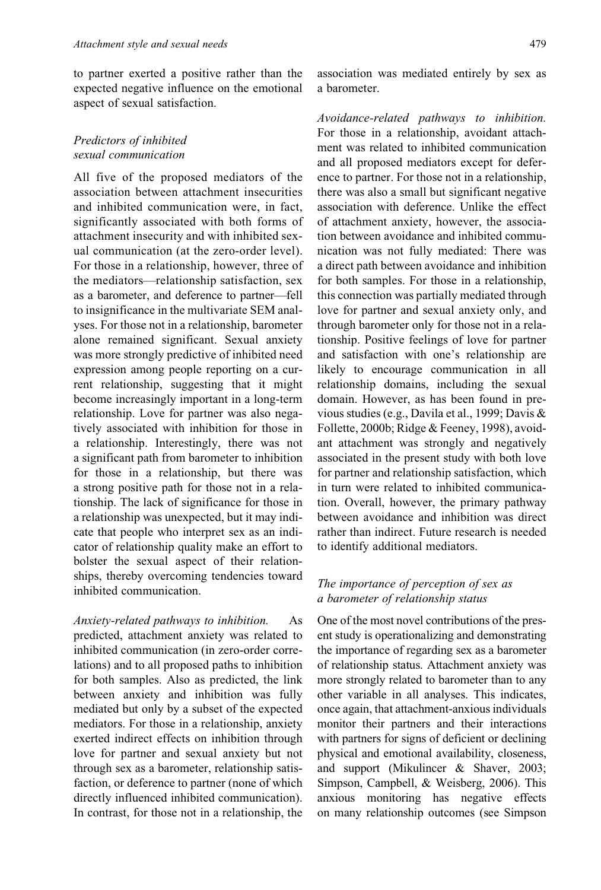to partner exerted a positive rather than the expected negative influence on the emotional aspect of sexual satisfaction.

## Predictors of inhibited sexual communication

All five of the proposed mediators of the association between attachment insecurities and inhibited communication were, in fact, significantly associated with both forms of attachment insecurity and with inhibited sexual communication (at the zero-order level). For those in a relationship, however, three of the mediators—relationship satisfaction, sex as a barometer, and deference to partner—fell to insignificance in the multivariate SEM analyses. For those not in a relationship, barometer alone remained significant. Sexual anxiety was more strongly predictive of inhibited need expression among people reporting on a current relationship, suggesting that it might become increasingly important in a long-term relationship. Love for partner was also negatively associated with inhibition for those in a relationship. Interestingly, there was not a significant path from barometer to inhibition for those in a relationship, but there was a strong positive path for those not in a relationship. The lack of significance for those in a relationship was unexpected, but it may indicate that people who interpret sex as an indicator of relationship quality make an effort to bolster the sexual aspect of their relationships, thereby overcoming tendencies toward inhibited communication.

# Anxiety-related pathways to inhibition. As predicted, attachment anxiety was related to inhibited communication (in zero-order correlations) and to all proposed paths to inhibition for both samples. Also as predicted, the link between anxiety and inhibition was fully mediated but only by a subset of the expected mediators. For those in a relationship, anxiety exerted indirect effects on inhibition through love for partner and sexual anxiety but not through sex as a barometer, relationship satisfaction, or deference to partner (none of which directly influenced inhibited communication). In contrast, for those not in a relationship, the

association was mediated entirely by sex as a barometer.

Avoidance-related pathways to inhibition. For those in a relationship, avoidant attachment was related to inhibited communication and all proposed mediators except for deference to partner. For those not in a relationship, there was also a small but significant negative association with deference. Unlike the effect of attachment anxiety, however, the association between avoidance and inhibited communication was not fully mediated: There was a direct path between avoidance and inhibition for both samples. For those in a relationship, this connection was partially mediated through love for partner and sexual anxiety only, and through barometer only for those not in a relationship. Positive feelings of love for partner and satisfaction with one's relationship are likely to encourage communication in all relationship domains, including the sexual domain. However, as has been found in previous studies (e.g., Davila et al., 1999; Davis & Follette, 2000b; Ridge & Feeney, 1998), avoidant attachment was strongly and negatively associated in the present study with both love for partner and relationship satisfaction, which in turn were related to inhibited communication. Overall, however, the primary pathway between avoidance and inhibition was direct rather than indirect. Future research is needed to identify additional mediators.

## The importance of perception of sex as a barometer of relationship status

One of the most novel contributions of the present study is operationalizing and demonstrating the importance of regarding sex as a barometer of relationship status. Attachment anxiety was more strongly related to barometer than to any other variable in all analyses. This indicates, once again, that attachment-anxious individuals monitor their partners and their interactions with partners for signs of deficient or declining physical and emotional availability, closeness, and support (Mikulincer & Shaver, 2003; Simpson, Campbell, & Weisberg, 2006). This anxious monitoring has negative effects on many relationship outcomes (see Simpson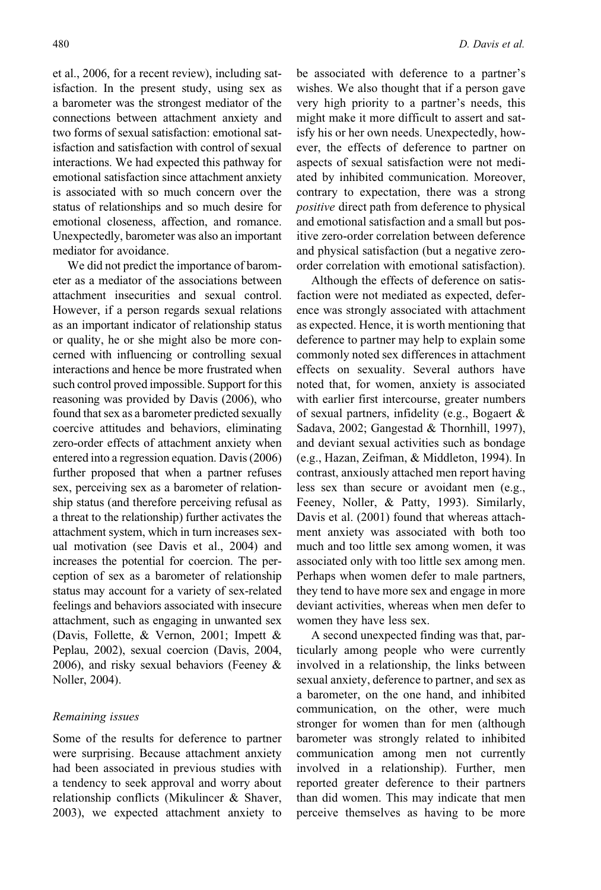et al., 2006, for a recent review), including satisfaction. In the present study, using sex as a barometer was the strongest mediator of the connections between attachment anxiety and two forms of sexual satisfaction: emotional satisfaction and satisfaction with control of sexual interactions. We had expected this pathway for emotional satisfaction since attachment anxiety is associated with so much concern over the status of relationships and so much desire for emotional closeness, affection, and romance. Unexpectedly, barometer was also an important mediator for avoidance.

We did not predict the importance of barometer as a mediator of the associations between attachment insecurities and sexual control. However, if a person regards sexual relations as an important indicator of relationship status or quality, he or she might also be more concerned with influencing or controlling sexual interactions and hence be more frustrated when such control proved impossible. Support for this reasoning was provided by Davis (2006), who found that sex as a barometer predicted sexually coercive attitudes and behaviors, eliminating zero-order effects of attachment anxiety when entered into a regression equation. Davis (2006) further proposed that when a partner refuses sex, perceiving sex as a barometer of relationship status (and therefore perceiving refusal as a threat to the relationship) further activates the attachment system, which in turn increases sexual motivation (see Davis et al., 2004) and increases the potential for coercion. The perception of sex as a barometer of relationship status may account for a variety of sex-related feelings and behaviors associated with insecure attachment, such as engaging in unwanted sex (Davis, Follette, & Vernon, 2001; Impett & Peplau, 2002), sexual coercion (Davis, 2004, 2006), and risky sexual behaviors (Feeney  $\&$ Noller, 2004).

#### Remaining issues

Some of the results for deference to partner were surprising. Because attachment anxiety had been associated in previous studies with a tendency to seek approval and worry about relationship conflicts (Mikulincer & Shaver, 2003), we expected attachment anxiety to be associated with deference to a partner's wishes. We also thought that if a person gave very high priority to a partner's needs, this might make it more difficult to assert and satisfy his or her own needs. Unexpectedly, however, the effects of deference to partner on aspects of sexual satisfaction were not mediated by inhibited communication. Moreover, contrary to expectation, there was a strong positive direct path from deference to physical and emotional satisfaction and a small but positive zero-order correlation between deference and physical satisfaction (but a negative zeroorder correlation with emotional satisfaction).

Although the effects of deference on satisfaction were not mediated as expected, deference was strongly associated with attachment as expected. Hence, it is worth mentioning that deference to partner may help to explain some commonly noted sex differences in attachment effects on sexuality. Several authors have noted that, for women, anxiety is associated with earlier first intercourse, greater numbers of sexual partners, infidelity (e.g., Bogaert & Sadava, 2002; Gangestad & Thornhill, 1997), and deviant sexual activities such as bondage (e.g., Hazan, Zeifman, & Middleton, 1994). In contrast, anxiously attached men report having less sex than secure or avoidant men (e.g., Feeney, Noller, & Patty, 1993). Similarly, Davis et al. (2001) found that whereas attachment anxiety was associated with both too much and too little sex among women, it was associated only with too little sex among men. Perhaps when women defer to male partners, they tend to have more sex and engage in more deviant activities, whereas when men defer to women they have less sex.

A second unexpected finding was that, particularly among people who were currently involved in a relationship, the links between sexual anxiety, deference to partner, and sex as a barometer, on the one hand, and inhibited communication, on the other, were much stronger for women than for men (although barometer was strongly related to inhibited communication among men not currently involved in a relationship). Further, men reported greater deference to their partners than did women. This may indicate that men perceive themselves as having to be more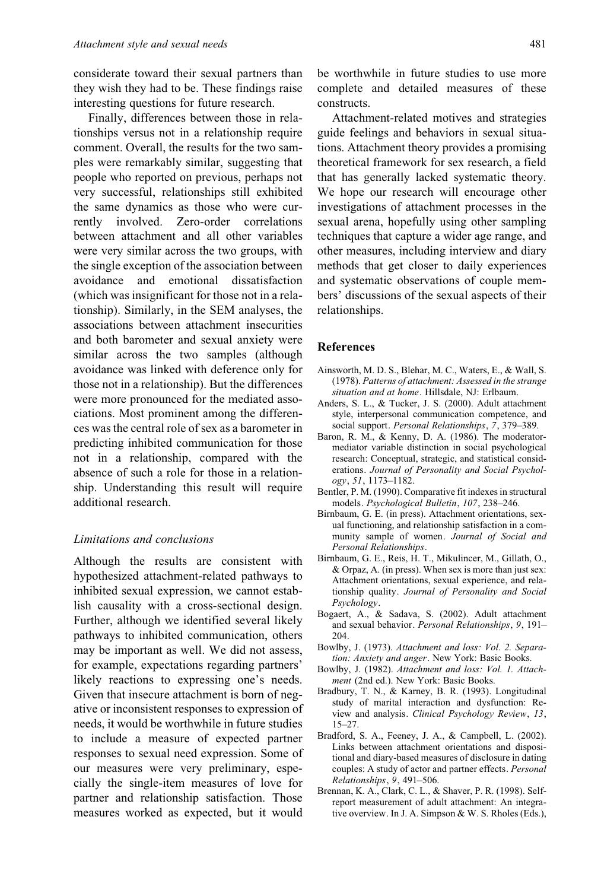considerate toward their sexual partners than they wish they had to be. These findings raise interesting questions for future research.

Finally, differences between those in relationships versus not in a relationship require comment. Overall, the results for the two samples were remarkably similar, suggesting that people who reported on previous, perhaps not very successful, relationships still exhibited the same dynamics as those who were currently involved. Zero-order correlations between attachment and all other variables were very similar across the two groups, with the single exception of the association between avoidance and emotional dissatisfaction (which was insignificant for those not in a relationship). Similarly, in the SEM analyses, the associations between attachment insecurities and both barometer and sexual anxiety were similar across the two samples (although avoidance was linked with deference only for those not in a relationship). But the differences were more pronounced for the mediated associations. Most prominent among the differences was the central role of sex as a barometer in predicting inhibited communication for those not in a relationship, compared with the absence of such a role for those in a relationship. Understanding this result will require additional research.

### Limitations and conclusions

Although the results are consistent with hypothesized attachment-related pathways to inhibited sexual expression, we cannot establish causality with a cross-sectional design. Further, although we identified several likely pathways to inhibited communication, others may be important as well. We did not assess, for example, expectations regarding partners' likely reactions to expressing one's needs. Given that insecure attachment is born of negative or inconsistent responses to expression of needs, it would be worthwhile in future studies to include a measure of expected partner responses to sexual need expression. Some of our measures were very preliminary, especially the single-item measures of love for partner and relationship satisfaction. Those measures worked as expected, but it would be worthwhile in future studies to use more complete and detailed measures of these constructs.

Attachment-related motives and strategies guide feelings and behaviors in sexual situations. Attachment theory provides a promising theoretical framework for sex research, a field that has generally lacked systematic theory. We hope our research will encourage other investigations of attachment processes in the sexual arena, hopefully using other sampling techniques that capture a wider age range, and other measures, including interview and diary methods that get closer to daily experiences and systematic observations of couple members' discussions of the sexual aspects of their relationships.

#### References

- Ainsworth, M. D. S., Blehar, M. C., Waters, E., & Wall, S. (1978). Patterns of attachment: Assessed in the strange situation and at home. Hillsdale, NJ: Erlbaum.
- Anders, S. L., & Tucker, J. S. (2000). Adult attachment style, interpersonal communication competence, and social support. Personal Relationships, 7, 379–389.
- Baron, R. M., & Kenny, D. A. (1986). The moderatormediator variable distinction in social psychological research: Conceptual, strategic, and statistical considerations. Journal of Personality and Social Psychology, 51, 1173–1182.
- Bentler, P. M. (1990). Comparative fit indexes in structural models. Psychological Bulletin, 107, 238–246.
- Birnbaum, G. E. (in press). Attachment orientations, sexual functioning, and relationship satisfaction in a community sample of women. Journal of Social and Personal Relationships.
- Birnbaum, G. E., Reis, H. T., Mikulincer, M., Gillath, O., & Orpaz, A. (in press). When sex is more than just sex: Attachment orientations, sexual experience, and relationship quality. Journal of Personality and Social Psychology.
- Bogaert, A., & Sadava, S. (2002). Adult attachment and sexual behavior. Personal Relationships, 9, 191– 204.
- Bowlby, J. (1973). Attachment and loss: Vol. 2. Separation: Anxiety and anger. New York: Basic Books.
- Bowlby, J. (1982). Attachment and loss: Vol. 1. Attachment (2nd ed.). New York: Basic Books.
- Bradbury, T. N., & Karney, B. R. (1993). Longitudinal study of marital interaction and dysfunction: Review and analysis. Clinical Psychology Review, 13, 15–27.
- Bradford, S. A., Feeney, J. A., & Campbell, L. (2002). Links between attachment orientations and dispositional and diary-based measures of disclosure in dating couples: A study of actor and partner effects. Personal Relationships, 9, 491–506.
- Brennan, K. A., Clark, C. L., & Shaver, P. R. (1998). Selfreport measurement of adult attachment: An integrative overview. In J. A. Simpson & W. S. Rholes (Eds.),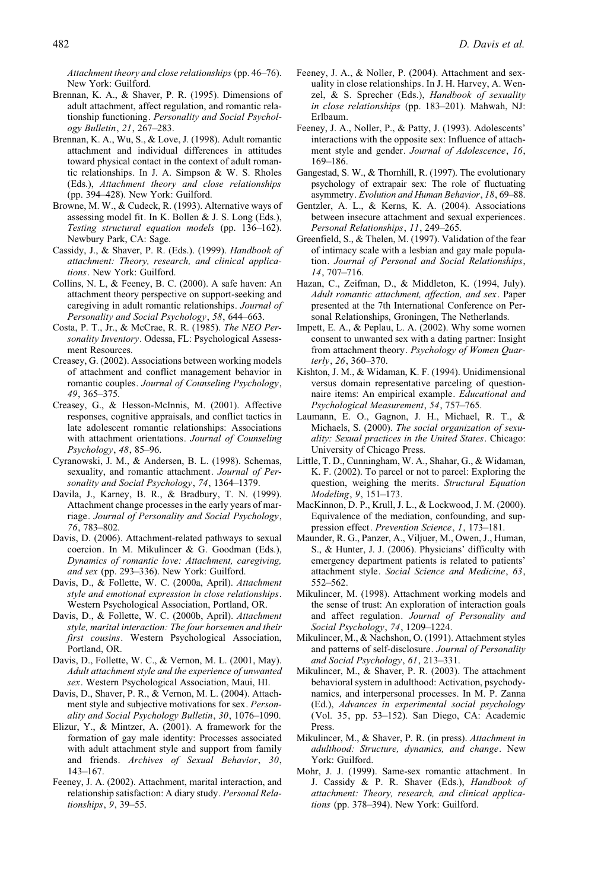Attachment theory and close relationships (pp. 46–76). New York: Guilford.

- Brennan, K. A., & Shaver, P. R. (1995). Dimensions of adult attachment, affect regulation, and romantic relationship functioning. Personality and Social Psychology Bulletin, 21, 267–283.
- Brennan, K. A., Wu, S., & Love, J. (1998). Adult romantic attachment and individual differences in attitudes toward physical contact in the context of adult romantic relationships. In J. A. Simpson & W. S. Rholes (Eds.), Attachment theory and close relationships (pp. 394–428). New York: Guilford.
- Browne, M. W., & Cudeck, R. (1993). Alternative ways of assessing model fit. In K. Bollen & J. S. Long (Eds.), Testing structural equation models (pp. 136–162). Newbury Park, CA: Sage.
- Cassidy, J., & Shaver, P. R. (Eds.). (1999). Handbook of attachment: Theory, research, and clinical applications. New York: Guilford.
- Collins, N. L, & Feeney, B. C. (2000). A safe haven: An attachment theory perspective on support-seeking and caregiving in adult romantic relationships. Journal of Personality and Social Psychology, 58, 644–663.
- Costa, P. T., Jr., & McCrae, R. R. (1985). The NEO Personality Inventory. Odessa, FL: Psychological Assessment Resources.
- Creasey, G. (2002). Associations between working models of attachment and conflict management behavior in romantic couples. Journal of Counseling Psychology, 49, 365–375.
- Creasey, G., & Hesson-McInnis, M. (2001). Affective responses, cognitive appraisals, and conflict tactics in late adolescent romantic relationships: Associations with attachment orientations. Journal of Counseling Psychology, 48, 85–96.
- Cyranowski, J. M., & Andersen, B. L. (1998). Schemas, sexuality, and romantic attachment. Journal of Personality and Social Psychology, 74, 1364–1379.
- Davila, J., Karney, B. R., & Bradbury, T. N. (1999). Attachment change processes in the early years of marriage. Journal of Personality and Social Psychology, 76, 783–802.
- Davis, D. (2006). Attachment-related pathways to sexual coercion. In M. Mikulincer & G. Goodman (Eds.), Dynamics of romantic love: Attachment, caregiving, and sex (pp. 293–336). New York: Guilford.
- Davis, D., & Follette, W. C. (2000a, April). Attachment style and emotional expression in close relationships. Western Psychological Association, Portland, OR.
- Davis, D., & Follette, W. C. (2000b, April). Attachment style, marital interaction: The four horsemen and their first cousins. Western Psychological Association, Portland, OR.
- Davis, D., Follette, W. C., & Vernon, M. L. (2001, May). Adult attachment style and the experience of unwanted sex. Western Psychological Association, Maui, HI.
- Davis, D., Shaver, P. R., & Vernon, M. L. (2004). Attachment style and subjective motivations for sex. Personality and Social Psychology Bulletin, 30, 1076–1090.
- Elizur, Y., & Mintzer, A. (2001). A framework for the formation of gay male identity: Processes associated with adult attachment style and support from family and friends. Archives of Sexual Behavior, 30, 143–167.
- Feeney, J. A. (2002). Attachment, marital interaction, and relationship satisfaction: A diary study. Personal Relationships, 9, 39–55.
- Feeney, J. A., & Noller, P. (2004). Attachment and sexuality in close relationships. In J. H. Harvey, A. Wenzel, & S. Sprecher (Eds.), Handbook of sexuality in close relationships (pp. 183–201). Mahwah, NJ: Erlbaum.
- Feeney, J. A., Noller, P., & Patty, J. (1993). Adolescents' interactions with the opposite sex: Influence of attachment style and gender. Journal of Adolescence, 16, 169–186.
- Gangestad, S. W., & Thornhill, R. (1997). The evolutionary psychology of extrapair sex: The role of fluctuating asymmetry. Evolution and Human Behavior, 18, 69–88.
- Gentzler, A. L., & Kerns, K. A. (2004). Associations between insecure attachment and sexual experiences. Personal Relationships, 11, 249–265.
- Greenfield, S., & Thelen, M. (1997). Validation of the fear of intimacy scale with a lesbian and gay male population. Journal of Personal and Social Relationships, 14, 707–716.
- Hazan, C., Zeifman, D., & Middleton, K. (1994, July). Adult romantic attachment, affection, and sex. Paper presented at the 7th International Conference on Personal Relationships, Groningen, The Netherlands.
- Impett, E. A., & Peplau, L. A. (2002). Why some women consent to unwanted sex with a dating partner: Insight from attachment theory. Psychology of Women Quarterly, 26, 360–370.
- Kishton, J. M., & Widaman, K. F. (1994). Unidimensional versus domain representative parceling of questionnaire items: An empirical example. Educational and Psychological Measurement, 54, 757–765.
- Laumann, E. O., Gagnon, J. H., Michael, R. T., & Michaels, S. (2000). The social organization of sexuality: Sexual practices in the United States. Chicago: University of Chicago Press.
- Little, T. D., Cunningham, W. A., Shahar, G., & Widaman, K. F. (2002). To parcel or not to parcel: Exploring the question, weighing the merits. Structural Equation Modeling, 9, 151–173.
- MacKinnon, D. P., Krull, J. L., & Lockwood, J. M. (2000). Equivalence of the mediation, confounding, and suppression effect. Prevention Science, 1, 173-181.
- Maunder, R. G., Panzer, A., Viljuer, M., Owen, J., Human, S., & Hunter, J. J. (2006). Physicians' difficulty with emergency department patients is related to patients' attachment style. Social Science and Medicine, 63, 552–562.
- Mikulincer, M. (1998). Attachment working models and the sense of trust: An exploration of interaction goals and affect regulation. Journal of Personality and Social Psychology, 74, 1209–1224.
- Mikulincer, M., & Nachshon, O. (1991). Attachment styles and patterns of self-disclosure. Journal of Personality and Social Psychology, 61, 213–331.
- Mikulincer, M., & Shaver, P. R. (2003). The attachment behavioral system in adulthood: Activation, psychodynamics, and interpersonal processes. In M. P. Zanna (Ed.), Advances in experimental social psychology (Vol. 35, pp. 53–152). San Diego, CA: Academic Press.
- Mikulincer, M., & Shaver, P. R. (in press). Attachment in adulthood: Structure, dynamics, and change. New York: Guilford.
- Mohr, J. J. (1999). Same-sex romantic attachment. In J. Cassidy & P. R. Shaver (Eds.), Handbook of attachment: Theory, research, and clinical applications (pp. 378–394). New York: Guilford.